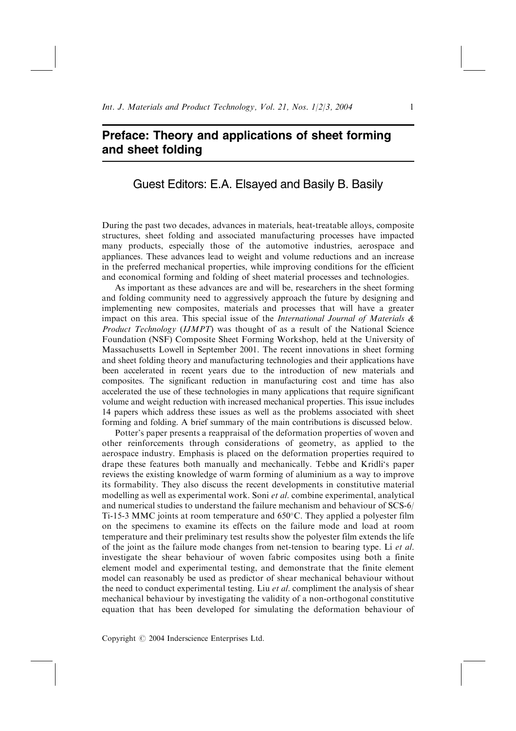## Preface: Theory and applications of sheet forming and sheet folding

## Guest Editors: E.A. Elsayed and Basily B. Basily

During the past two decades, advances in materials, heat-treatable alloys, composite structures, sheet folding and associated manufacturing processes have impacted many products, especially those of the automotive industries, aerospace and appliances. These advances lead to weight and volume reductions and an increase in the preferred mechanical properties, while improving conditions for the efficient and economical forming and folding of sheet material processes and technologies.

As important as these advances are and will be, researchers in the sheet forming and folding community need to aggressively approach the future by designing and implementing new composites, materials and processes that will have a greater impact on this area. This special issue of the *International Journal of Materials*  $\&$ Product Technology (IJMPT) was thought of as a result of the National Science Foundation (NSF) Composite Sheet Forming Workshop, held at the University of Massachusetts Lowell in September 2001. The recent innovations in sheet forming and sheet folding theory and manufacturing technologies and their applications have been accelerated in recent years due to the introduction of new materials and composites. The significant reduction in manufacturing cost and time has also accelerated the use of these technologies in many applications that require significant volume and weight reduction with increased mechanical properties. This issue includes 14 papers which address these issues as well as the problems associated with sheet forming and folding. A brief summary of the main contributions is discussed below.

Potter's paper presents a reappraisal of the deformation properties of woven and other reinforcements through considerations of geometry, as applied to the aerospace industry. Emphasis is placed on the deformation properties required to drape these features both manually and mechanically. Tebbe and Kridli`s paper reviews the existing knowledge of warm forming of aluminium as a way to improve its formability. They also discuss the recent developments in constitutive material modelling as well as experimental work. Soni et al. combine experimental, analytical and numerical studies to understand the failure mechanism and behaviour of SCS-6/ Ti-15-3 MMC joints at room temperature and  $650^{\circ}$ C. They applied a polyester film on the specimens to examine its effects on the failure mode and load at room temperature and their preliminary test results show the polyester film extends the life of the joint as the failure mode changes from net-tension to bearing type. Li et al. investigate the shear behaviour of woven fabric composites using both a finite element model and experimental testing, and demonstrate that the finite element model can reasonably be used as predictor of shear mechanical behaviour without the need to conduct experimental testing. Liu *et al.* compliment the analysis of shear mechanical behaviour by investigating the validity of a non-orthogonal constitutive equation that has been developed for simulating the deformation behaviour of

Copyright  $\odot$  2004 Inderscience Enterprises Ltd.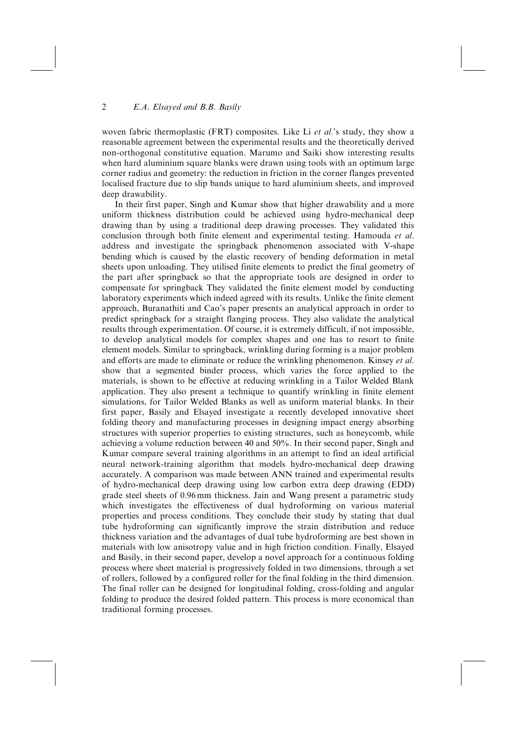## 2 E.A. Elsayed and B.B. Basily

woven fabric thermoplastic (FRT) composites. Like Li *et al.*'s study, they show a reasonable agreement between the experimental results and the theoretically derived non-orthogonal constitutive equation. Marumo and Saiki show interesting results when hard aluminium square blanks were drawn using tools with an optimum large corner radius and geometry: the reduction in friction in the corner flanges prevented localised fracture due to slip bands unique to hard aluminium sheets, and improved deep drawability.

In their first paper, Singh and Kumar show that higher drawability and a more uniform thickness distribution could be achieved using hydro-mechanical deep drawing than by using a traditional deep drawing processes. They validated this conclusion through both finite element and experimental testing. Hamouda et al. address and investigate the springback phenomenon associated with V-shape bending which is caused by the elastic recovery of bending deformation in metal sheets upon unloading. They utilised finite elements to predict the final geometry of the part after springback so that the appropriate tools are designed in order to compensate for springback They validated the finite element model by conducting laboratory experiments which indeed agreed with its results. Unlike the finite element approach, Buranathiti and Cao's paper presents an analytical approach in order to predict springback for a straight flanging process. They also validate the analytical results through experimentation. Of course, it is extremely difficult, if not impossible, to develop analytical models for complex shapes and one has to resort to finite element models. Similar to springback, wrinkling during forming is a major problem and efforts are made to eliminate or reduce the wrinkling phenomenon. Kinsey et al. show that a segmented binder process, which varies the force applied to the materials, is shown to be effective at reducing wrinkling in a Tailor Welded Blank application. They also present a technique to quantify wrinkling in finite element simulations, for Tailor Welded Blanks as well as uniform material blanks. In their first paper, Basily and Elsayed investigate a recently developed innovative sheet folding theory and manufacturing processes in designing impact energy absorbing structures with superior properties to existing structures, such as honeycomb, while achieving a volume reduction between 40 and 50%. In their second paper, Singh and Kumar compare several training algorithms in an attempt to find an ideal artificial neural network-training algorithm that models hydro-mechanical deep drawing accurately. A comparison was made between ANN trained and experimental results of hydro-mechanical deep drawing using low carbon extra deep drawing (EDD) grade steel sheets of 0.96 mm thickness. Jain and Wang present a parametric study which investigates the effectiveness of dual hydroforming on various material properties and process conditions. They conclude their study by stating that dual tube hydroforming can significantly improve the strain distribution and reduce thickness variation and the advantages of dual tube hydroforming are best shown in materials with low anisotropy value and in high friction condition. Finally, Elsayed and Basily, in their second paper, develop a novel approach for a continuous folding process where sheet material is progressively folded in two dimensions, through a set of rollers, followed by a configured roller for the final folding in the third dimension. The final roller can be designed for longitudinal folding, cross-folding and angular folding to produce the desired folded pattern. This process is more economical than traditional forming processes.